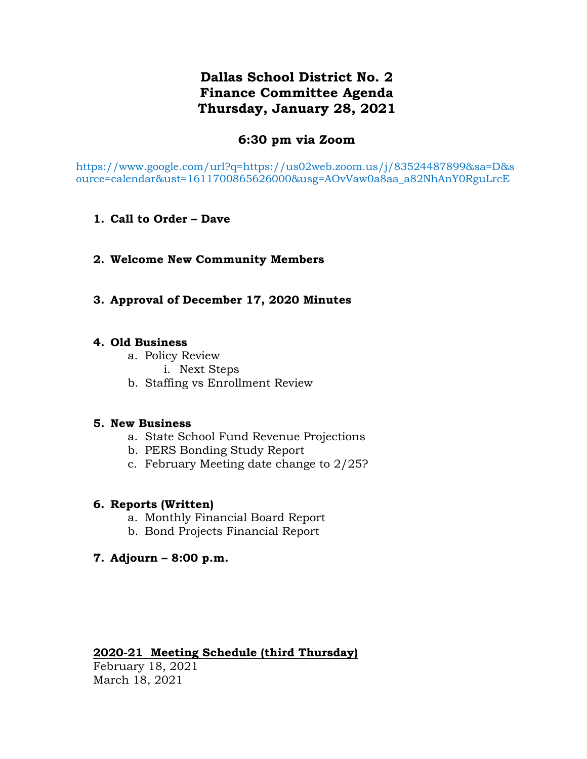# **Dallas School District No. 2 Finance Committee Agenda Thursday, January 28, 2021**

## **6:30 pm via Zoom**

https://www.google.com/url?q=https://us02web.zoom.us/j/83524487899&sa=D&s ource=calendar&ust=1611700865626000&usg=AOvVaw0a8aa\_a82NhAnY0RguLrcE

- **1. Call to Order – Dave**
- **2. Welcome New Community Members**
- **3. Approval of December 17, 2020 Minutes**

## **4. Old Business**

- a. Policy Review
	- i. Next Steps
- b. Staffing vs Enrollment Review

## **5. New Business**

- a. State School Fund Revenue Projections
- b. PERS Bonding Study Report
- c. February Meeting date change to 2/25?

## **6. Reports (Written)**

- a. Monthly Financial Board Report
- b. Bond Projects Financial Report
- **7. Adjourn – 8:00 p.m.**

## **2020-21 Meeting Schedule (third Thursday)**

February 18, 2021 March 18, 2021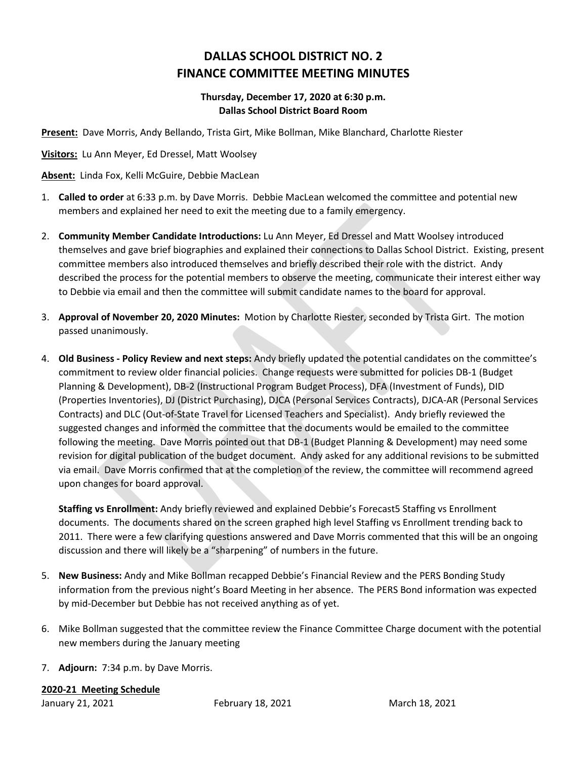# **DALLAS SCHOOL DISTRICT NO. 2 FINANCE COMMITTEE MEETING MINUTES**

### **Thursday, December 17, 2020 at 6:30 p.m. Dallas School District Board Room**

**Present:** Dave Morris, Andy Bellando, Trista Girt, Mike Bollman, Mike Blanchard, Charlotte Riester

**Visitors:** Lu Ann Meyer, Ed Dressel, Matt Woolsey

**Absent:** Linda Fox, Kelli McGuire, Debbie MacLean

- 1. **Called to order** at 6:33 p.m. by Dave Morris. Debbie MacLean welcomed the committee and potential new members and explained her need to exit the meeting due to a family emergency.
- 2. **Community Member Candidate Introductions:** Lu Ann Meyer, Ed Dressel and Matt Woolsey introduced themselves and gave brief biographies and explained their connections to Dallas School District. Existing, present committee members also introduced themselves and briefly described their role with the district. Andy described the process for the potential members to observe the meeting, communicate their interest either way to Debbie via email and then the committee will submit candidate names to the board for approval.
- 3. **Approval of November 20, 2020 Minutes:** Motion by Charlotte Riester, seconded by Trista Girt. The motion passed unanimously.
- 4. **Old Business - Policy Review and next steps:** Andy briefly updated the potential candidates on the committee's commitment to review older financial policies. Change requests were submitted for policies DB-1 (Budget Planning & Development), DB-2 (Instructional Program Budget Process), DFA (Investment of Funds), DID (Properties Inventories), DJ (District Purchasing), DJCA (Personal Services Contracts), DJCA-AR (Personal Services Contracts) and DLC (Out-of-State Travel for Licensed Teachers and Specialist). Andy briefly reviewed the suggested changes and informed the committee that the documents would be emailed to the committee following the meeting. Dave Morris pointed out that DB-1 (Budget Planning & Development) may need some revision for digital publication of the budget document. Andy asked for any additional revisions to be submitted via email. Dave Morris confirmed that at the completion of the review, the committee will recommend agreed upon changes for board approval.

**Staffing vs Enrollment:** Andy briefly reviewed and explained Debbie's Forecast5 Staffing vs Enrollment documents. The documents shared on the screen graphed high level Staffing vs Enrollment trending back to 2011. There were a few clarifying questions answered and Dave Morris commented that this will be an ongoing discussion and there will likely be a "sharpening" of numbers in the future.

- 5. **New Business:** Andy and Mike Bollman recapped Debbie's Financial Review and the PERS Bonding Study information from the previous night's Board Meeting in her absence. The PERS Bond information was expected by mid-December but Debbie has not received anything as of yet.
- 6. Mike Bollman suggested that the committee review the Finance Committee Charge document with the potential new members during the January meeting
- 7. **Adjourn:** 7:34 p.m. by Dave Morris.

**2020-21 Meeting Schedule**

January 21, 2021 February 18, 2021 March 18, 2021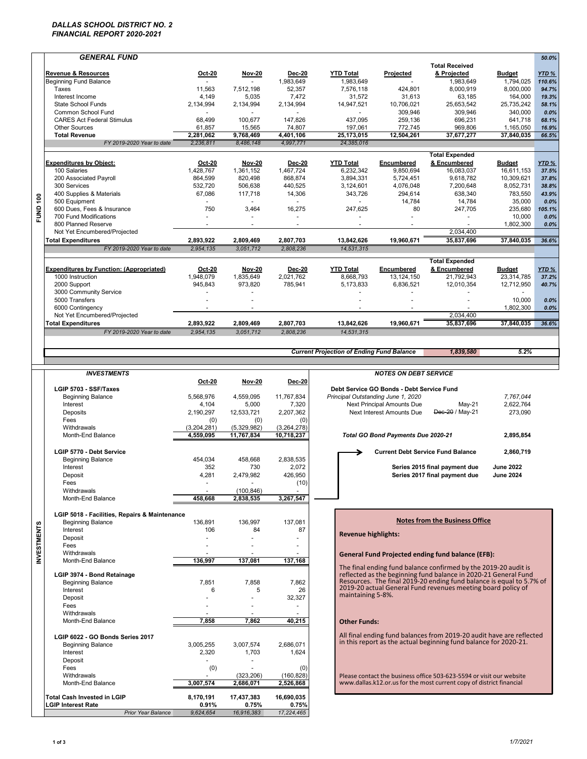### *DALLAS SCHOOL DISTRICT NO. 2 FINANCIAL REPORT 2020-2021*

| <b>GENERAL FUND</b>                                    |                                                 |                         |                          |                                                  |                                           |                                                                                                                                         |                     | 50.0%  |
|--------------------------------------------------------|-------------------------------------------------|-------------------------|--------------------------|--------------------------------------------------|-------------------------------------------|-----------------------------------------------------------------------------------------------------------------------------------------|---------------------|--------|
|                                                        |                                                 |                         |                          |                                                  |                                           | <b>Total Received</b>                                                                                                                   |                     |        |
| <b>Revenue &amp; Resources</b>                         | Oct-20                                          | <b>Nov-20</b>           | Dec-20                   | <b>YTD Total</b>                                 | Projected                                 | & Projected                                                                                                                             | <b>Budget</b>       | YTD%   |
| <b>Beginning Fund Balance</b>                          |                                                 |                         | 1,983,649                | 1,983,649                                        |                                           | 1.983.649                                                                                                                               | 1,794,025           | 110.6% |
| Taxes                                                  | 11,563                                          | 7,512,198               | 52,357                   | 7,576,118                                        | 424,801                                   | 8,000,919                                                                                                                               | 8,000,000           | 94.7%  |
| Interest Income                                        | 4,149                                           | 5,035                   | 7,472                    | 31,572                                           | 31,613                                    | 63,185                                                                                                                                  | 164,000             | 19.3%  |
| State School Funds                                     | 2,134,994                                       | 2,134,994               | 2,134,994                | 14,947,521                                       | 10,706,021                                | 25,653,542                                                                                                                              | 25,735,242          | 58.1%  |
| Common School Fund                                     |                                                 |                         |                          |                                                  | 309,946                                   | 309.946                                                                                                                                 | 340,000             | 0.0%   |
| <b>CARES Act Federal Stimulus</b>                      | 68,499                                          | 100,677                 | 147,826                  | 437,095                                          | 259,136                                   | 696.231                                                                                                                                 | 641,718             | 68.1%  |
| <b>Other Sources</b>                                   | 61,857                                          | 15,565                  | 74,807                   | 197,061                                          | 772,745                                   | 969,806                                                                                                                                 | 1,165,050           | 16.9%  |
| <b>Total Revenue</b>                                   | 2,281,062                                       | 9,768,469               | 4,401,106                | 25,173,015                                       | 12,504,261                                | 37,677,277                                                                                                                              | 37,840,035          | 66.5%  |
| FY 2019-2020 Year to date                              | 2,236,811                                       | 8,486,148               | 4,997,771                | 24,385,016                                       |                                           |                                                                                                                                         |                     |        |
|                                                        |                                                 |                         |                          |                                                  |                                           | <b>Total Expended</b>                                                                                                                   |                     |        |
| <b>Expenditures by Object:</b>                         | Oct-20                                          | <b>Nov-20</b>           | Dec-20                   | <b>YTD Total</b>                                 | Encumbered                                | & Encumbered                                                                                                                            | <b>Budget</b>       | YTD%   |
| 100 Salaries                                           | 1,428,767                                       | 1,361,152               | 1,467,724                | 6,232,342                                        | 9.850.694                                 | 16,083,037                                                                                                                              | 16,611,153          | 37.5%  |
| 200 Associated Payroll                                 | 864,599                                         | 820,498                 | 868,874                  | 3,894,331                                        | 5,724,451                                 | 9,618,782                                                                                                                               | 10,309,621          | 37.8%  |
| 300 Services                                           | 532,720                                         | 506,638                 | 440,525                  | 3,124,601                                        | 4.076.048                                 | 7,200,648                                                                                                                               | 8,052,731           | 38.8%  |
| 400 Supplies & Materials                               | 67,086                                          | 117,718                 | 14,306                   | 343,726                                          | 294,614                                   | 638,340                                                                                                                                 | 783,550             | 43.9%  |
| FUND 100<br>500 Equipment                              | $\sim$                                          | ÷                       | $\overline{\phantom{a}}$ | ÷                                                | 14,784                                    | 14,784                                                                                                                                  | 35,000              | 0.0%   |
| 600 Dues, Fees & Insurance                             | 750                                             | 3,464                   | 16,275                   | 247,625                                          | 80                                        | 247,705                                                                                                                                 | 235,680             | 105.1% |
| 700 Fund Modifications<br>800 Planned Reserve          | $\sim$                                          | $\sim$                  | $\ddot{\phantom{1}}$     |                                                  |                                           | $\overline{\phantom{a}}$                                                                                                                | 10,000<br>1,802,300 | 0.0%   |
| Not Yet Encumbered/Projected                           |                                                 |                         |                          |                                                  |                                           | 2,034,400                                                                                                                               |                     | 0.0%   |
| <b>Total Expenditures</b>                              | 2,893,922                                       | 2,809,469               | 2.807.703                | 13,842,626                                       | 19,960,671                                | 35,837,696                                                                                                                              | 37,840,035          | 36.6%  |
|                                                        |                                                 |                         |                          |                                                  |                                           |                                                                                                                                         |                     |        |
| FY 2019-2020 Year to date                              | 2,954,135                                       | 3,051,712               | 2,808,236                | 14,531,315                                       |                                           |                                                                                                                                         |                     |        |
|                                                        |                                                 |                         |                          |                                                  |                                           | <b>Total Expended</b>                                                                                                                   |                     |        |
| <b>Expenditures by Function: (Appropriated)</b>        | Oct-20                                          | <b>Nov-20</b>           | Dec-20                   | <b>YTD Total</b>                                 | Encumbered                                | & Encumbered                                                                                                                            | Budget              | YTD%   |
| 1000 Instruction                                       | 1,948,079                                       | 1,835,649               | 2,021,762                | 8.668.793                                        | 13, 124, 150                              | 21,792,943                                                                                                                              | 23,314,785          | 37.2%  |
| 2000 Support                                           | 945,843                                         | 973,820                 | 785,941                  | 5,173,833                                        | 6,836,521                                 | 12,010,354                                                                                                                              | 12,712,950          | 40.7%  |
| 3000 Community Service                                 |                                                 |                         |                          |                                                  |                                           |                                                                                                                                         | $\blacksquare$      |        |
| 5000 Transfers                                         |                                                 |                         |                          |                                                  |                                           |                                                                                                                                         | 10,000              | 0.0%   |
| 6000 Contingency<br>Not Yet Encumbered/Projected       |                                                 |                         |                          |                                                  |                                           | 2,034,400                                                                                                                               | 1,802,300           | 0.0%   |
|                                                        |                                                 |                         |                          |                                                  | 19,960,671                                | 35,837,696                                                                                                                              | 37,840,035          | 36.6%  |
| <b>Total Expenditures</b><br>FY 2019-2020 Year to date | 2,893,922<br>2,954,135                          | 2,809,469<br>3,051,712  | 2,807,703<br>2,808,236   | 13,842,626<br>14,531,315                         |                                           |                                                                                                                                         |                     |        |
|                                                        |                                                 |                         |                          |                                                  |                                           |                                                                                                                                         |                     |        |
|                                                        |                                                 |                         |                          |                                                  |                                           |                                                                                                                                         |                     |        |
|                                                        |                                                 |                         |                          | <b>Current Projection of Ending Fund Balance</b> |                                           | 1,839,580                                                                                                                               | 5.2%                |        |
|                                                        |                                                 |                         |                          |                                                  |                                           |                                                                                                                                         |                     |        |
| <b>INVESTMENTS</b>                                     |                                                 |                         |                          |                                                  | <b>NOTES ON DEBT SERVICE</b>              |                                                                                                                                         |                     |        |
|                                                        |                                                 |                         |                          |                                                  |                                           |                                                                                                                                         |                     |        |
|                                                        |                                                 |                         |                          |                                                  |                                           |                                                                                                                                         |                     |        |
| LGIP 5703 - SSF/Taxes                                  | <b>Oct-20</b>                                   | <b>Nov-20</b>           | <b>Dec-20</b>            |                                                  | Debt Service GO Bonds - Debt Service Fund |                                                                                                                                         |                     |        |
| <b>Beginning Balance</b>                               | 5,568,976                                       | 4,559,095               | 11,767,834               |                                                  | Principal Outstanding June 1, 2020        |                                                                                                                                         | 7,767,044           |        |
| Interest                                               | 4,104                                           | 5,000                   | 7,320                    |                                                  | Next Principal Amounts Due                | May-21                                                                                                                                  | 2,622,764           |        |
| Deposits                                               | 2,190,297                                       | 12,533,721              | 2,207,362                |                                                  | Next Interest Amounts Due                 | Dec-20 / May-21                                                                                                                         | 273,090             |        |
| Fees                                                   | (0)                                             | (0)                     | (0)                      |                                                  |                                           |                                                                                                                                         |                     |        |
| Withdrawals                                            | (3,204,281)                                     | (5,329,982)             | (3,264,278)              |                                                  |                                           |                                                                                                                                         |                     |        |
| Month-End Balance                                      | 4,559,095                                       | 11,767,834              | 10,718,237               |                                                  | Total GO Bond Payments Due 2020-21        |                                                                                                                                         | 2,895,854           |        |
|                                                        |                                                 |                         |                          |                                                  |                                           |                                                                                                                                         |                     |        |
| LGIP 5770 - Debt Service                               |                                                 |                         |                          |                                                  |                                           | <b>Current Debt Service Fund Balance</b>                                                                                                | 2.860.719           |        |
| <b>Beginning Balance</b>                               | 454,034                                         | 458,668                 | 2,838,535                |                                                  |                                           |                                                                                                                                         |                     |        |
| Interest                                               | 352                                             | 730                     | 2,072                    |                                                  |                                           | Series 2015 final payment due                                                                                                           | <b>June 2022</b>    |        |
| Deposit                                                | 4.281                                           | 2.479.982               | 426,950                  |                                                  |                                           | Series 2017 final payment due                                                                                                           | <b>June 2024</b>    |        |
| Fees                                                   |                                                 |                         | (10)                     |                                                  |                                           |                                                                                                                                         |                     |        |
| Withdrawals<br>Month-End Balance                       | 458.668                                         | (100, 846)<br>2,838,535 | 3,267,547                |                                                  |                                           |                                                                                                                                         |                     |        |
|                                                        |                                                 |                         |                          |                                                  |                                           |                                                                                                                                         |                     |        |
| LGIP 5018 - Facilities, Repairs & Maintenance          |                                                 |                         |                          |                                                  |                                           |                                                                                                                                         |                     |        |
| <b>Beginning Balance</b>                               | 136,891                                         | 136,997                 | 137,081                  |                                                  |                                           | <b>Notes from the Business Office</b>                                                                                                   |                     |        |
| Interest                                               | 106                                             | 84                      | 87                       |                                                  |                                           |                                                                                                                                         |                     |        |
| Deposit                                                |                                                 |                         |                          | <b>Revenue highlights:</b>                       |                                           |                                                                                                                                         |                     |        |
| Fees                                                   |                                                 |                         |                          |                                                  |                                           |                                                                                                                                         |                     |        |
| Withdrawals                                            |                                                 |                         |                          |                                                  |                                           | <b>General Fund Projected ending fund balance (EFB):</b>                                                                                |                     |        |
| Month-End Balance                                      | 136,997                                         | 137,081                 | 137,168                  |                                                  |                                           |                                                                                                                                         |                     |        |
|                                                        |                                                 |                         |                          |                                                  |                                           | The final ending fund balance confirmed by the 2019-20 audit is                                                                         |                     |        |
| <b>NVESTMENTS</b><br>LGIP 3974 - Bond Retainage        |                                                 |                         |                          |                                                  |                                           | reflected as the beginning fund balance in 2020-21 General Fund<br>Resources. The final 2019-20 ending fund balance is equal to 5.7% of |                     |        |
| <b>Beginning Balance</b><br>Interest                   | 7,851<br>6                                      | 7,858<br>5              | 7,862<br>26              |                                                  |                                           | 2019-20 actual General Fund revenues meeting board policy of                                                                            |                     |        |
| Deposit                                                |                                                 | $\blacksquare$          | 32,327                   | maintaining 5-8%.                                |                                           |                                                                                                                                         |                     |        |
| Fees                                                   |                                                 |                         |                          |                                                  |                                           |                                                                                                                                         |                     |        |
| Withdrawals                                            |                                                 |                         |                          |                                                  |                                           |                                                                                                                                         |                     |        |
| Month-End Balance                                      | 7,858                                           | 7,862                   | 40,215                   | <b>Other Funds:</b>                              |                                           |                                                                                                                                         |                     |        |
|                                                        |                                                 |                         |                          |                                                  |                                           |                                                                                                                                         |                     |        |
| LGIP 6022 - GO Bonds Series 2017                       |                                                 |                         |                          |                                                  |                                           | All final ending fund balances from 2019-20 audit have are reflected                                                                    |                     |        |
| <b>Beginning Balance</b>                               | 3,005,255                                       | 3,007,574               | 2,686,071                |                                                  |                                           | in this report as the actual beginning fund balance for 2020-21.                                                                        |                     |        |
| Interest                                               | 2,320                                           | 1,703                   | 1,624                    |                                                  |                                           |                                                                                                                                         |                     |        |
| Deposit                                                | $\sim$                                          |                         |                          |                                                  |                                           |                                                                                                                                         |                     |        |
| Fees                                                   | (0)                                             |                         | (0)                      |                                                  |                                           |                                                                                                                                         |                     |        |
| Withdrawals                                            |                                                 | (323, 206)              | (160, 828)               |                                                  |                                           | Please contact the business office 503-623-5594 or visit our website                                                                    |                     |        |
| Month-End Balance                                      | 3,007,574                                       | 2,686,071               | 2,526,868                |                                                  |                                           | www.dallas.k12.or.us for the most current copy of district financial                                                                    |                     |        |
| <b>Total Cash Invested in LGIP</b>                     | 8,170,191                                       | 17,437,383              | 16,690,035               |                                                  |                                           |                                                                                                                                         |                     |        |
| <b>LGIP Interest Rate</b>                              | 0.91%<br><b>Prior Year Balance</b><br>9,624,654 | 0.75%<br>16,916,383     | 0.75%<br>17,224,465      |                                                  |                                           |                                                                                                                                         |                     |        |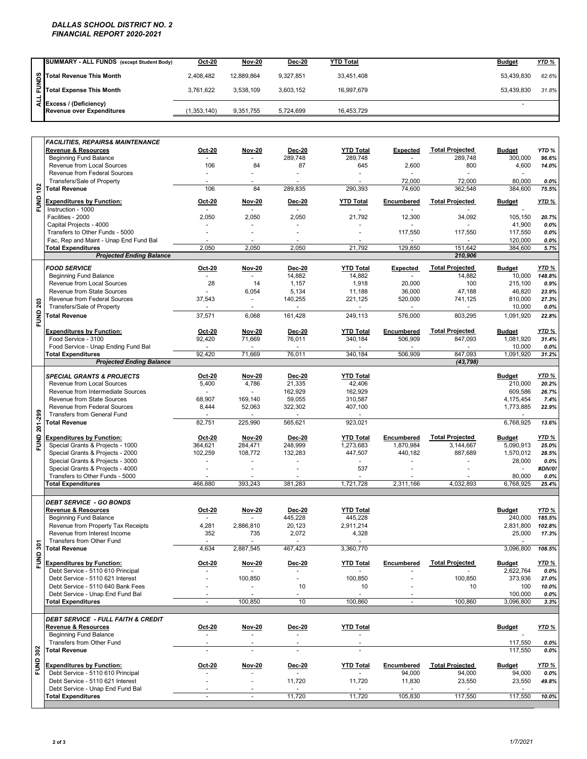### *DALLAS SCHOOL DISTRICT NO. 2 FINANCIAL REPORT 2020-2021*

|   | SUMMARY - ALL FUNDS (except Student Body)                        | Oct-20        | Nov-20     | <b>Dec-20</b> | YTD Total  | <b>Budget</b> | <b>YTD %</b> |
|---|------------------------------------------------------------------|---------------|------------|---------------|------------|---------------|--------------|
|   |                                                                  | 2.408.482     | 12.889.864 | 9.327.851     | 33.451.408 | 53.439.830    | 62.6%        |
|   | Soll Total Revenue This Month<br>Ell<br>Total Expense This Month | 3.761.622     | 3.538.109  | 3.603.152     | 16.997.679 | 53.439.830    | 31.8%        |
| ÷ | 국 Excess / (Deficiency)<br><b>Revenue over Expenditures</b>      | (1, 353, 140) | 9,351,755  | 5.724.699     | 16.453.729 |               |              |

|                 | Total Revenue This Month                                                                                         | 2,408,482               | 12,889,864                                 | 9,327,851                           | 33,451,408                          |                         |                                     | 53,439,830                           | 62.6%                         |
|-----------------|------------------------------------------------------------------------------------------------------------------|-------------------------|--------------------------------------------|-------------------------------------|-------------------------------------|-------------------------|-------------------------------------|--------------------------------------|-------------------------------|
| FUNDS           | <b>Total Expense This Month</b>                                                                                  | 3,761,622               | 3,538,109                                  | 3,603,152                           | 16,997,679                          |                         |                                     | 53,439,830                           | 31.8%                         |
| $\frac{1}{2}$   | Excess / (Deficiency)<br><b>Revenue over Expenditures</b>                                                        | (1,353,140)             | 9,351,755                                  | 5,724,699                           | 16,453,729                          |                         |                                     | ÷                                    |                               |
|                 | <b>FACILITIES. REPAIRS&amp; MAINTENANCE</b><br><b>Revenue &amp; Resources</b>                                    | Oct-20                  | <b>Nov-20</b>                              | <b>Dec-20</b>                       | <b>YTD Total</b>                    | Expected                | <b>Total Projected</b>              | <b>Budget</b>                        | YTD%                          |
|                 | <b>Beginning Fund Balance</b><br>Revenue from Local Sources                                                      | 106                     | 84                                         | 289,748<br>87                       | 289.748<br>645                      | $\mathbf{r}$<br>2,600   | 289,748<br>800                      | 300,000<br>4,600                     | 96.6%<br>14.0%                |
|                 | Revenue from Federal Sources<br>Transfers/Sale of Property<br><b>Total Revenue</b>                               | $\sim$<br>106           | $\ddot{\phantom{1}}$<br>84                 | 289,835                             | 290,393                             | 72,000<br>74,600        | 72,000<br>362,548                   | 80,000<br>384,600                    | 0.0%<br>75.5%                 |
| <b>FUND 102</b> | <b>Expenditures by Function:</b>                                                                                 | Oct-20                  | Nov-20                                     | Dec-20                              | <b>YTD Total</b>                    | Encumbered              | <b>Total Projected</b>              | <b>Budget</b>                        | YTD %                         |
|                 | Instruction - 1000<br>Facilities - 2000<br>Capital Projects - 4000                                               | 2,050                   | ٠<br>2,050                                 | $\sim$<br>2,050                     | 21,792                              | 12,300                  | 34,092                              | 105,150<br>41,900                    | 20.7%<br>0.0%                 |
|                 | Transfers to Other Funds - 5000<br>Fac, Rep and Maint - Unap End Fund Bal                                        |                         | $\ddot{\phantom{1}}$                       | $\ddot{\phantom{1}}$                |                                     | 117,550                 | 117,550                             | 117,550<br>120,000                   | 0.0%<br>0.0%                  |
|                 | <b>Total Expenditures</b><br><b>Projected Ending Balance</b>                                                     | 2,050                   | 2,050                                      | 2,050                               | 21,792                              | 129,850                 | 151,642<br>210,906                  | 384,600                              | 5.7%                          |
|                 | <b>FOOD SERVICE</b><br><b>Beginning Fund Balance</b>                                                             | <b>Oct-20</b><br>$\sim$ | <b>Nov-20</b><br>$\sim$<br>14              | <b>Dec-20</b><br>14,882             | <b>YTD Total</b><br>14,882          | Expected                | <b>Total Projected</b><br>14,882    | <b>Budget</b><br>10,000              | YTD %<br>148.8%               |
|                 | Revenue from Local Sources<br>Revenue from State Sources                                                         | 28                      | 6,054                                      | 1,157<br>5,134                      | 1,918<br>11,188                     | 20,000<br>36,000        | 100<br>47,188                       | 215,100<br>46,820                    | 0.9%<br>23.9%                 |
| FUND 203        | Revenue from Federal Sources<br>Transfers/Sale of Property                                                       | 37,543                  | $\blacksquare$<br>$\overline{\phantom{a}}$ | 140,255<br>$\overline{\phantom{a}}$ | 221,125<br>$\overline{\phantom{a}}$ | 520,000                 | 741,125                             | 810,000<br>10,000                    | 27.3%<br>0.0%                 |
|                 | <b>Total Revenue</b>                                                                                             | 37,571                  | 6,068                                      | 161,428                             | 249,113                             | 576,000                 | 803,295                             | 1.091.920                            | 22.8%                         |
|                 | <b>Expenditures by Function:</b><br>Food Service - 3100<br>Food Service - Unap Ending Fund Bal                   | <b>Oct-20</b><br>92,420 | <b>Nov-20</b><br>71,669                    | <b>Dec-20</b><br>76,011             | <b>YTD Total</b><br>340,184         | Encumbered<br>506,909   | <b>Total Projected</b><br>847,093   | <b>Budget</b><br>1,081,920<br>10,000 | <b>YTD %</b><br>31.4%<br>0.0% |
|                 | <b>Total Expenditures</b><br><b>Projected Ending Balance</b>                                                     | 92,420                  | 71,669                                     | 76,011                              | 340,184                             | 506,909                 | 847,093<br>(43,798)                 | 1,091,920                            | 31.2%                         |
|                 | <b>SPECIAL GRANTS &amp; PROJECTS</b><br>Revenue from Local Sources                                               | Oct-20<br>5,400         | <b>Nov-20</b><br>4,786                     | <b>Dec-20</b><br>21,335             | <b>YTD Total</b><br>42,406          |                         |                                     | <b>Budget</b><br>210,000             | YTD <sub>%</sub><br>20.2%     |
|                 | Revenue from Intermediate Sources<br>Revenue from State Sources<br><b>Revenue from Federal Sources</b>           | 68,907<br>8,444         | 169,140<br>52,063                          | 162,929<br>59,055<br>322,302        | 162,929<br>310,587<br>407,100       |                         |                                     | 609,586<br>4,175,454<br>1,773,885    | 26.7%<br>7.4%<br>22.9%        |
|                 | <b>Transfers from General Fund</b><br><b>Total Revenue</b>                                                       | 82,751                  | 225,990                                    | 565,621                             | 923,021                             |                         |                                     | 6,768,925                            | 13.6%                         |
| FUND 201-299    | <b>Expenditures by Function:</b><br>Special Grants & Projects - 1000                                             | Oct-20<br>364,621       | <b>Nov-20</b><br>284,471                   | <b>Dec-20</b><br>248,999            | <b>YTD Total</b><br>1,273,683       | Encumbered<br>1,870,984 | <b>Total Projected</b><br>3,144,667 | <b>Budget</b><br>5,090,913           | <b>YTD %</b><br>25.0%         |
|                 | Special Grants & Projects - 2000<br>Special Grants & Projects - 3000                                             | 102,259                 | 108,772                                    | 132,283                             | 447,507                             | 440,182                 | 887,689                             | 1,570,012<br>28,000                  | 28.5%<br>0.0%                 |
|                 | Special Grants & Projects - 4000<br>Transfers to Other Funds - 5000                                              |                         |                                            |                                     | 537                                 |                         |                                     | 80,000                               | #DIV/0!<br>0.0%               |
|                 | <b>Total Expenditures</b>                                                                                        | 466.880                 | 393,243                                    | 381,283                             | 1,721,728                           | 2,311,166               | 4,032,893                           | 6,768,925                            | 25.4%                         |
|                 | <b>DEBT SERVICE - GO BONDS</b><br>Revenue & Resources<br><b>Beginning Fund Balance</b>                           | Oct-20<br>$\sim$        | Nov-20                                     | Dec-20<br>445,228                   | <b>YTD Total</b><br>445,228         |                         |                                     | <b>Budget</b><br>240,000             | YTD %<br>185.5%               |
|                 | Revenue from Property Tax Receipts<br>Revenue from Interest Income<br>Transfers from Other Fund                  | 4,281<br>352            | 2,886,810<br>735                           | 20,123<br>2,072                     | 2,911,214<br>4,328<br>$\sim$        |                         |                                     | 2,831,800<br>25,000                  | 102.8%<br>17.3%               |
| 301             | <b>Total Revenue</b>                                                                                             | 4,634                   | 2.887.545                                  | 467,423                             | 3,360,770                           |                         |                                     | 3,096,800                            | 108.5%                        |
| FUND            | <b>Expenditures by Function:</b><br>Debt Service - 5110 610 Principal                                            | Oct-20                  | <b>Nov-20</b>                              | <b>Dec-20</b>                       | <b>YTD Total</b>                    | Encumbered              | <b>Total Projected</b>              | <b>Budget</b><br>2,622,764           | YTD %<br>0.0%                 |
|                 | Debt Service - 5110 621 Interest<br>Debt Service - 5110 640 Bank Fees<br>Debt Service - Unap End Fund Bal        |                         | 100,850<br>$\blacksquare$                  | ä,<br>10<br>٠                       | 100,850<br>10<br>$\mathbf{r}$       |                         | 100,850<br>10                       | 373,936<br>100<br>100,000            | 27.0%<br>10.0%<br>0.0%        |
|                 | <b>Total Expenditures</b>                                                                                        |                         | 100,850                                    | 10                                  | 100,860                             | $\overline{a}$          | 100,860                             | 3,096,800                            | 3.3%                          |
|                 | <b>DEBT SERVICE - FULL FAITH &amp; CREDIT</b><br><b>Revenue &amp; Resources</b><br><b>Beginning Fund Balance</b> | Oct-20<br>$\sim$        | <b>Nov-20</b><br>$\blacksquare$            | <b>Dec-20</b><br>$\sim$             | <b>YTD Total</b><br>$\sim$          |                         |                                     | <b>Budget</b>                        | YTD <sub>%</sub>              |
|                 | Transfers from Other Fund<br><b>Total Revenue</b>                                                                | ÷.                      | L.                                         | ÷.                                  | $\overline{a}$                      |                         |                                     | 117,550<br>117,550                   | 0.0%<br>0.0%                  |
| <b>FUND 302</b> | <b>Expenditures by Function:</b>                                                                                 | Oct-20                  | <b>Nov-20</b>                              | Dec-20                              | <b>YTD Total</b>                    | Encumbered              | <b>Total Projected</b>              | <b>Budget</b>                        | YTD %                         |
|                 | Debt Service - 5110 610 Principal<br>Debt Service - 5110 621 Interest<br>Debt Service - Unap End Fund Bal        |                         | ä,                                         | 11,720                              | 11,720                              | 94,000<br>11,830        | 94,000<br>23,550                    | 94,000<br>23,550                     | 0.0%<br>49.8%                 |
|                 | <b>Total Expenditures</b>                                                                                        | $\sim$                  | ÷.                                         | 11,720                              | 11,720                              | 105,830                 | 117,550                             | 117,550                              | 10.0%                         |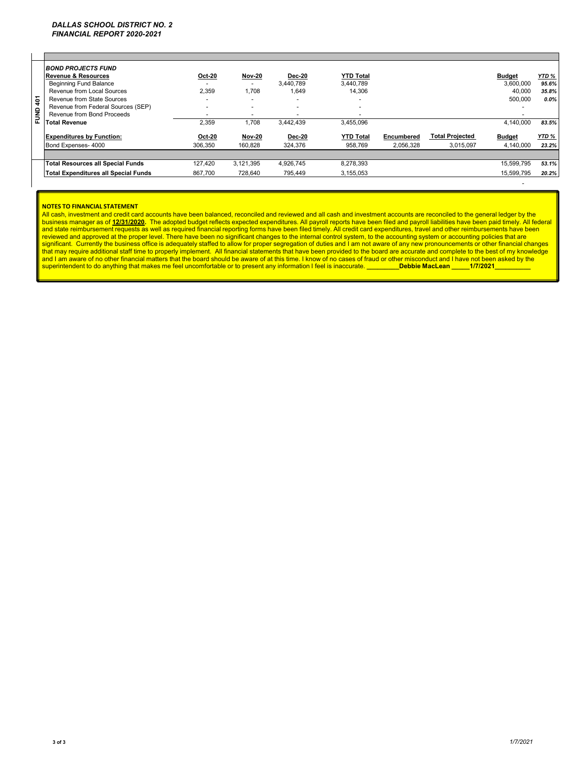|                 | <b>BOND PROJECTS FUND</b>                |               |                          |                          |                          |            |                        |               |         |
|-----------------|------------------------------------------|---------------|--------------------------|--------------------------|--------------------------|------------|------------------------|---------------|---------|
|                 | <b>Revenue &amp; Resources</b>           | <b>Oct-20</b> | <b>Nov-20</b>            | <b>Dec-20</b>            | <b>YTD Total</b>         |            |                        | <b>Budget</b> | YTD %   |
|                 | <b>Beginning Fund Balance</b>            |               |                          | 3.440.789                | 3.440.789                |            |                        | 3,600,000     | 95.6%   |
|                 | Revenue from Local Sources               | 2,359         | .708                     | 1,649                    | 14,306                   |            |                        | 40,000        | 35.8%   |
| $\frac{401}{5}$ | Revenue from State Sources               |               |                          |                          |                          |            |                        | 500,000       | $0.0\%$ |
| $\mathbf{a}$    | Revenue from Federal Sources (SEP)       | -             | $\overline{\phantom{0}}$ | $\overline{\phantom{0}}$ | $\overline{\phantom{a}}$ |            |                        |               |         |
| Ξ               | Revenue from Bond Proceeds               | -             | $\overline{\phantom{0}}$ | $\overline{\phantom{0}}$ | $\overline{\phantom{a}}$ |            |                        |               |         |
| ш.              | <b>Total Revenue</b>                     | 2,359         | .708                     | 3.442.439                | 3,455,096                |            |                        | 4.140.000     | 83.5%   |
|                 | <b>Expenditures by Function:</b>         | <b>Oct-20</b> | <b>Nov-20</b>            | <b>Dec-20</b>            | <b>YTD Total</b>         | Encumbered | <b>Total Projected</b> | <b>Budget</b> | YTD %   |
|                 | Bond Expenses- 4000                      | 306.350       | 160.828                  | 324.376                  | 958.769                  | 2,056,328  | 3.015.097              | 4.140.000     | 23.2%   |
|                 |                                          |               |                          |                          |                          |            |                        |               |         |
|                 | <b>Total Resources all Special Funds</b> | 127.420       | 3.121.395                | 4.926.745                | 8,278,393                |            |                        | 15.599.795    | 53.1%   |
|                 | Total Expenditures all Special Funds     | 867.700       | 728.640                  | 795.449                  | 3.155.053                |            |                        | 15.599.795    | 20.2%   |

#### **NOTES TO FINANCIAL STATEMENT**

All cash, investment and credit card accounts have been balanced, reconciled and reviewed and all cash and investment accounts are reconciled to the general ledger by the business manager as of 12/31/2020. The adopted budget reflects expected expenditures. All payroll reports have been filed and payroll liabilities have been paid timely. All federal<br>and state reimbursement requests as well superintendent to do anything that makes me feel uncomfortable or to present any information I feel is inaccurate. **\_\_\_\_\_\_\_\_\_Debbie MacLean \_\_\_\_\_1/7/2021** 

- 100 minutes